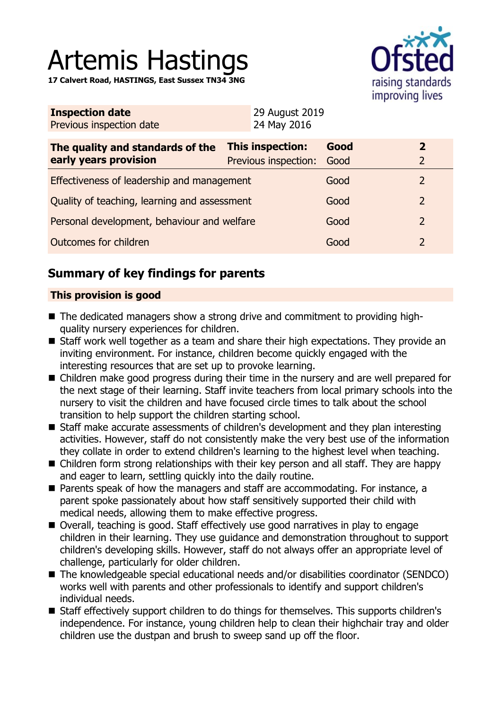# Artemis Hastings

**17 Calvert Road, HASTINGS, East Sussex TN34 3NG**



| <b>Inspection date</b>   | 29 August 2019 |
|--------------------------|----------------|
| Previous inspection date | 24 May 2016    |

| The quality and standards of the<br>early years provision | <b>This inspection:</b><br>Previous inspection: Good | Good |               |
|-----------------------------------------------------------|------------------------------------------------------|------|---------------|
| Effectiveness of leadership and management                |                                                      | Good |               |
| Quality of teaching, learning and assessment              |                                                      | Good | $\mathcal{L}$ |
| Personal development, behaviour and welfare               |                                                      | Good | $\mathcal{P}$ |
| Outcomes for children                                     |                                                      | Good | $\mathcal{L}$ |

# **Summary of key findings for parents**

## **This provision is good**

- The dedicated managers show a strong drive and commitment to providing highquality nursery experiences for children.
- Staff work well together as a team and share their high expectations. They provide an inviting environment. For instance, children become quickly engaged with the interesting resources that are set up to provoke learning.
- Children make good progress during their time in the nursery and are well prepared for the next stage of their learning. Staff invite teachers from local primary schools into the nursery to visit the children and have focused circle times to talk about the school transition to help support the children starting school.
- Staff make accurate assessments of children's development and they plan interesting activities. However, staff do not consistently make the very best use of the information they collate in order to extend children's learning to the highest level when teaching.
- Children form strong relationships with their key person and all staff. They are happy and eager to learn, settling quickly into the daily routine.
- $\blacksquare$  Parents speak of how the managers and staff are accommodating. For instance, a parent spoke passionately about how staff sensitively supported their child with medical needs, allowing them to make effective progress.
- Overall, teaching is good. Staff effectively use good narratives in play to engage children in their learning. They use guidance and demonstration throughout to support children's developing skills. However, staff do not always offer an appropriate level of challenge, particularly for older children.
- The knowledgeable special educational needs and/or disabilities coordinator (SENDCO) works well with parents and other professionals to identify and support children's individual needs.
- Staff effectively support children to do things for themselves. This supports children's independence. For instance, young children help to clean their highchair tray and older children use the dustpan and brush to sweep sand up off the floor.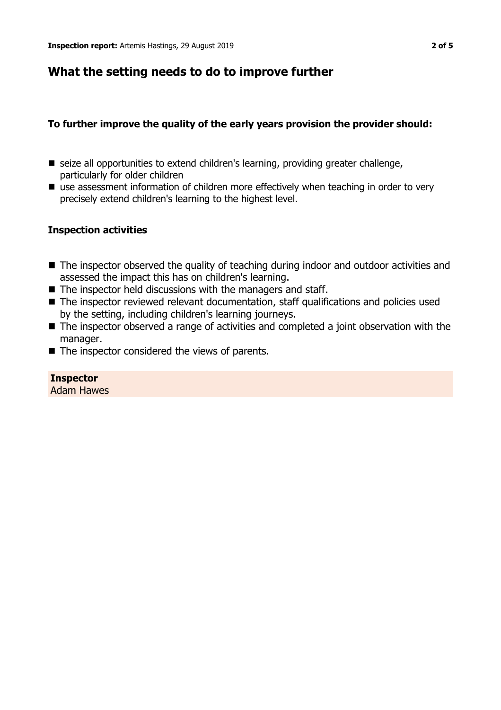## **What the setting needs to do to improve further**

## **To further improve the quality of the early years provision the provider should:**

- seize all opportunities to extend children's learning, providing greater challenge, particularly for older children
- $\blacksquare$  use assessment information of children more effectively when teaching in order to very precisely extend children's learning to the highest level.

## **Inspection activities**

- The inspector observed the quality of teaching during indoor and outdoor activities and assessed the impact this has on children's learning.
- $\blacksquare$  The inspector held discussions with the managers and staff.
- $\blacksquare$  The inspector reviewed relevant documentation, staff qualifications and policies used by the setting, including children's learning journeys.
- $\blacksquare$  The inspector observed a range of activities and completed a joint observation with the manager.
- $\blacksquare$  The inspector considered the views of parents.

#### **Inspector** Adam Hawes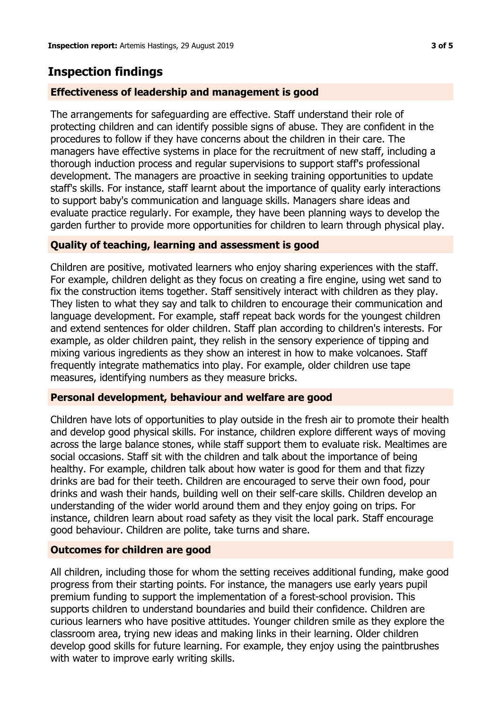## **Inspection findings**

### **Effectiveness of leadership and management is good**

The arrangements for safeguarding are effective. Staff understand their role of protecting children and can identify possible signs of abuse. They are confident in the procedures to follow if they have concerns about the children in their care. The managers have effective systems in place for the recruitment of new staff, including a thorough induction process and regular supervisions to support staff's professional development. The managers are proactive in seeking training opportunities to update staff's skills. For instance, staff learnt about the importance of quality early interactions to support baby's communication and language skills. Managers share ideas and evaluate practice regularly. For example, they have been planning ways to develop the garden further to provide more opportunities for children to learn through physical play.

#### **Quality of teaching, learning and assessment is good**

Children are positive, motivated learners who enjoy sharing experiences with the staff. For example, children delight as they focus on creating a fire engine, using wet sand to fix the construction items together. Staff sensitively interact with children as they play. They listen to what they say and talk to children to encourage their communication and language development. For example, staff repeat back words for the youngest children and extend sentences for older children. Staff plan according to children's interests. For example, as older children paint, they relish in the sensory experience of tipping and mixing various ingredients as they show an interest in how to make volcanoes. Staff frequently integrate mathematics into play. For example, older children use tape measures, identifying numbers as they measure bricks.

#### **Personal development, behaviour and welfare are good**

Children have lots of opportunities to play outside in the fresh air to promote their health and develop good physical skills. For instance, children explore different ways of moving across the large balance stones, while staff support them to evaluate risk. Mealtimes are social occasions. Staff sit with the children and talk about the importance of being healthy. For example, children talk about how water is good for them and that fizzy drinks are bad for their teeth. Children are encouraged to serve their own food, pour drinks and wash their hands, building well on their self-care skills. Children develop an understanding of the wider world around them and they enjoy going on trips. For instance, children learn about road safety as they visit the local park. Staff encourage good behaviour. Children are polite, take turns and share.

## **Outcomes for children are good**

All children, including those for whom the setting receives additional funding, make good progress from their starting points. For instance, the managers use early years pupil premium funding to support the implementation of a forest-school provision. This supports children to understand boundaries and build their confidence. Children are curious learners who have positive attitudes. Younger children smile as they explore the classroom area, trying new ideas and making links in their learning. Older children develop good skills for future learning. For example, they enjoy using the paintbrushes with water to improve early writing skills.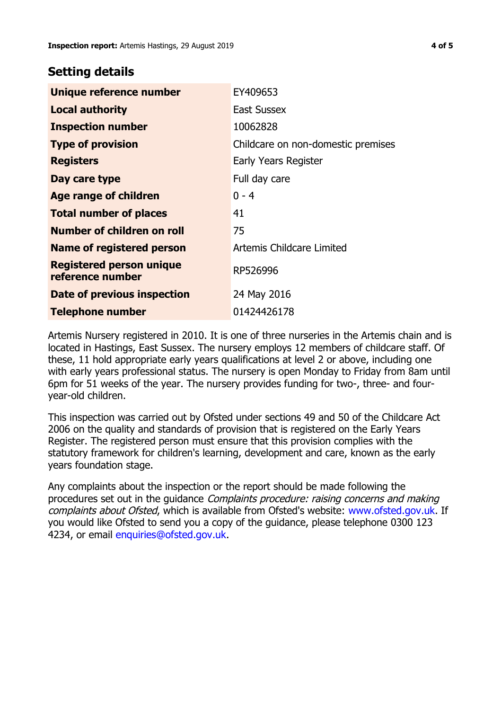## **Setting details**

| Unique reference number                             | EY409653                           |
|-----------------------------------------------------|------------------------------------|
| <b>Local authority</b>                              | <b>East Sussex</b>                 |
| <b>Inspection number</b>                            | 10062828                           |
| <b>Type of provision</b>                            | Childcare on non-domestic premises |
| <b>Registers</b>                                    | Early Years Register               |
| Day care type                                       | Full day care                      |
| Age range of children                               | $0 - 4$                            |
| <b>Total number of places</b>                       | 41                                 |
| Number of children on roll                          | 75                                 |
| Name of registered person                           | Artemis Childcare Limited          |
| <b>Registered person unique</b><br>reference number | RP526996                           |
| Date of previous inspection                         | 24 May 2016                        |
| <b>Telephone number</b>                             | 01424426178                        |

Artemis Nursery registered in 2010. It is one of three nurseries in the Artemis chain and is located in Hastings, East Sussex. The nursery employs 12 members of childcare staff. Of these, 11 hold appropriate early years qualifications at level 2 or above, including one with early years professional status. The nursery is open Monday to Friday from 8am until 6pm for 51 weeks of the year. The nursery provides funding for two-, three- and fouryear-old children.

This inspection was carried out by Ofsted under sections 49 and 50 of the Childcare Act 2006 on the quality and standards of provision that is registered on the Early Years Register. The registered person must ensure that this provision complies with the statutory framework for children's learning, development and care, known as the early years foundation stage.

Any complaints about the inspection or the report should be made following the procedures set out in the guidance Complaints procedure: raising concerns and making complaints about Ofsted, which is available from Ofsted's website: www.ofsted.gov.uk. If you would like Ofsted to send you a copy of the guidance, please telephone 0300 123 4234, or email [enquiries@ofsted.gov.uk.](mailto:enquiries@ofsted.gov.uk)